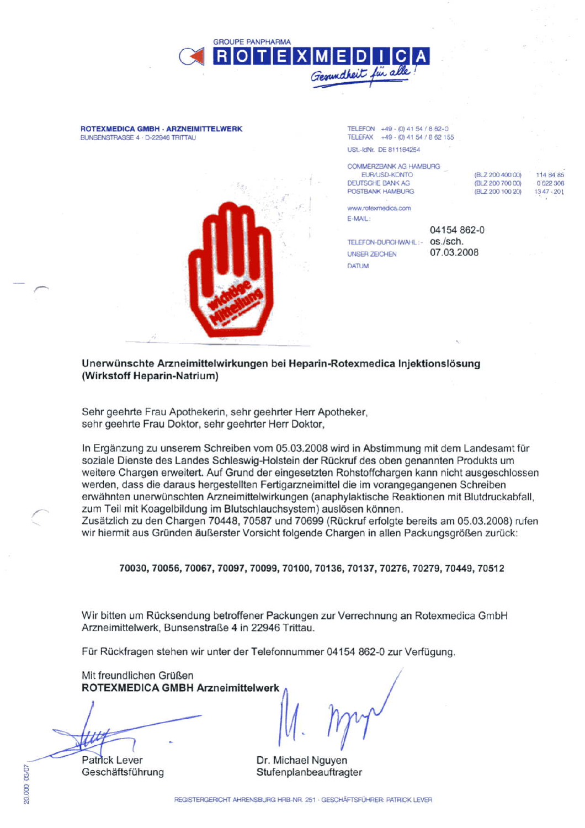

**ROTEXMEDICA GMBH - ARZNEIMITTELWERK** BUNSENSTRASSE 4 - D-22946 TRITTAU



TELEFON +49 - (0) 41 54 / 8 62-0 TELEFAX +49 - (0) 41 54 / 8 62 155 USt.-IdNr. DE 811164254

| <b>COMMERZBANK AG HAMBURG</b> |                  |              |
|-------------------------------|------------------|--------------|
| EUR/USD-KONTO                 | (BLZ 200 400 00) | 114 84 85    |
| DEUTSCHE BANK AG              | (BLZ 200 700 00) | 0622308      |
| POSTBANK HAMBURG              | (BLZ 200 100 20) | $1347 - 201$ |
|                               |                  |              |
| www.rotexmedica.com           |                  |              |
|                               |                  |              |

E-MAIL:

TELEFON-DURCHWAHL:- 0S./sch. **UNSER ZEICHEN DATUM** 

04154 862-0 07.03.2008

Unerwünschte Arzneimittelwirkungen bei Heparin-Rotexmedica Injektionslösung (Wirkstoff Heparin-Natrium)

Sehr geehrte Frau Apothekerin, sehr geehrter Herr Apotheker, sehr geehrte Frau Doktor, sehr geehrter Herr Doktor,

In Ergänzung zu unserem Schreiben vom 05.03.2008 wird in Abstimmung mit dem Landesamt für soziale Dienste des Landes Schleswig-Holstein der Rückruf des oben genannten Produkts um weitere Chargen erweitert. Auf Grund der eingesetzten Rohstoffchargen kann nicht ausgeschlossen werden, dass die daraus hergestellten Fertigarzneimittel die im vorangegangenen Schreiben erwähnten unerwünschten Arzneimittelwirkungen (anaphylaktische Reaktionen mit Blutdruckabfall, zum Teil mit Koagelbildung im Blutschlauchsystem) auslösen können.

Zusätzlich zu den Chargen 70448, 70587 und 70699 (Rückruf erfolgte bereits am 05.03.2008) rufen wir hiermit aus Gründen äußerster Vorsicht folgende Chargen in allen Packungsgrößen zurück:

70030, 70056, 70067, 70097, 70099, 70100, 70136, 70137, 70276, 70279, 70449, 70512

Wir bitten um Rücksendung betroffener Packungen zur Verrechnung an Rotexmedica GmbH Arzneimittelwerk, Bunsenstraße 4 in 22946 Trittau.

Für Rückfragen stehen wir unter der Telefonnummer 04154 862-0 zur Verfügung.

Mit freundlichen Grüßen **ROTEXMEDICA GMBH Arzneimittelwerk** 

**Patrick Lever** 

Geschäftsführung

Dr. Michael Nguyen Stufenplanbeauftragter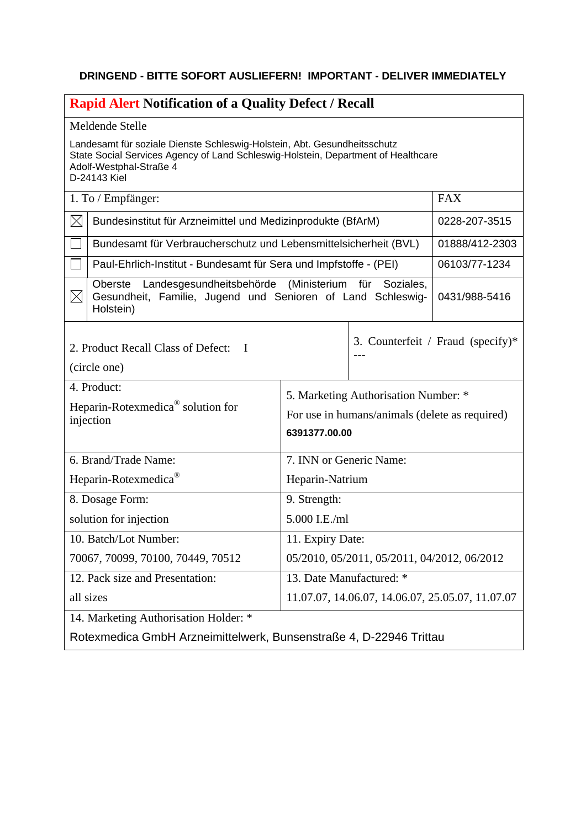## **DRINGEND - BITTE SOFORT AUSLIEFERN! IMPORTANT - DELIVER IMMEDIATELY**

| <b>Rapid Alert Notification of a Quality Defect / Recall</b>                                                                                                                                             |                                                                                                         |                                   |                |
|----------------------------------------------------------------------------------------------------------------------------------------------------------------------------------------------------------|---------------------------------------------------------------------------------------------------------|-----------------------------------|----------------|
| Meldende Stelle                                                                                                                                                                                          |                                                                                                         |                                   |                |
| Landesamt für soziale Dienste Schleswig-Holstein, Abt. Gesundheitsschutz<br>State Social Services Agency of Land Schleswig-Holstein, Department of Healthcare<br>Adolf-Westphal-Straße 4<br>D-24143 Kiel |                                                                                                         |                                   |                |
| 1. To / Empfänger:                                                                                                                                                                                       |                                                                                                         |                                   | <b>FAX</b>     |
| $\boxtimes$<br>Bundesinstitut für Arzneimittel und Medizinprodukte (BfArM)                                                                                                                               |                                                                                                         |                                   | 0228-207-3515  |
| Bundesamt für Verbraucherschutz und Lebensmittelsicherheit (BVL)                                                                                                                                         |                                                                                                         |                                   | 01888/412-2303 |
| Paul-Ehrlich-Institut - Bundesamt für Sera und Impfstoffe - (PEI)                                                                                                                                        |                                                                                                         |                                   | 06103/77-1234  |
| Landesgesundheitsbehörde (Ministerium für Soziales,<br>Oberste<br>$\times$<br>Gesundheit, Familie, Jugend und Senioren of Land Schleswig-<br>Holstein)                                                   |                                                                                                         |                                   | 0431/988-5416  |
| 2. Product Recall Class of Defect: I<br>(circle one)                                                                                                                                                     |                                                                                                         | 3. Counterfeit / Fraud (specify)* |                |
| 4. Product:<br>Heparin-Rotexmedica <sup>®</sup> solution for<br>injection                                                                                                                                | 5. Marketing Authorisation Number: *<br>For use in humans/animals (delete as required)<br>6391377.00.00 |                                   |                |
| 6. Brand/Trade Name:                                                                                                                                                                                     | 7. INN or Generic Name:                                                                                 |                                   |                |
| Heparin-Rotexmedica®                                                                                                                                                                                     | Heparin-Natrium                                                                                         |                                   |                |
| 8. Dosage Form:                                                                                                                                                                                          | 9. Strength:                                                                                            |                                   |                |
| solution for injection                                                                                                                                                                                   | 5.000 I.E./ml                                                                                           |                                   |                |
| 10. Batch/Lot Number:                                                                                                                                                                                    | 11. Expiry Date:                                                                                        |                                   |                |
| 70067, 70099, 70100, 70449, 70512                                                                                                                                                                        | 05/2010, 05/2011, 05/2011, 04/2012, 06/2012                                                             |                                   |                |
| 12. Pack size and Presentation:                                                                                                                                                                          | 13. Date Manufactured: *                                                                                |                                   |                |
| all sizes                                                                                                                                                                                                | 11.07.07, 14.06.07, 14.06.07, 25.05.07, 11.07.07                                                        |                                   |                |
| 14. Marketing Authorisation Holder: *                                                                                                                                                                    |                                                                                                         |                                   |                |
| Rotexmedica GmbH Arzneimittelwerk, Bunsenstraße 4, D-22946 Trittau                                                                                                                                       |                                                                                                         |                                   |                |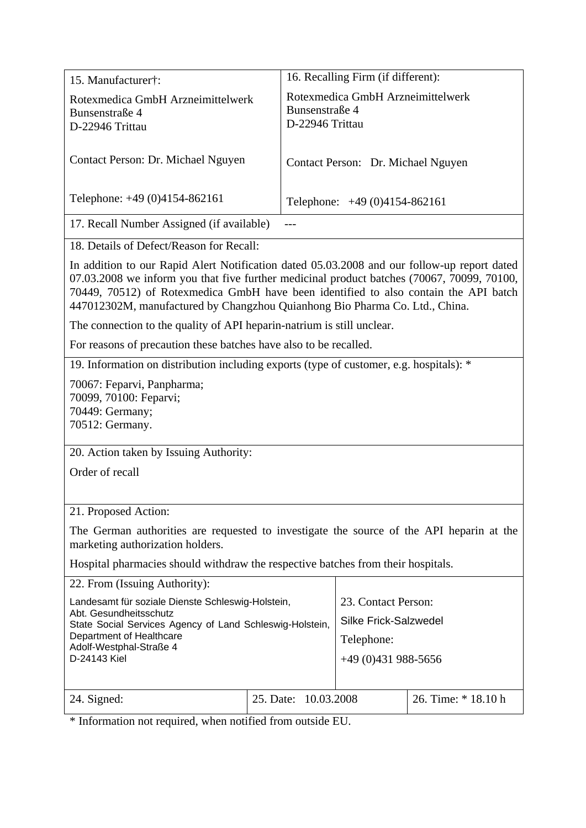| 15. Manufacturer†:                                                                                                                                                                                                                                                                                                                                               | 16. Recalling Firm (if different):                                                      |  |  |  |
|------------------------------------------------------------------------------------------------------------------------------------------------------------------------------------------------------------------------------------------------------------------------------------------------------------------------------------------------------------------|-----------------------------------------------------------------------------------------|--|--|--|
| Rotexmedica GmbH Arzneimittelwerk<br>Bunsenstraße 4<br>D-22946 Trittau                                                                                                                                                                                                                                                                                           | Rotexmedica GmbH Arzneimittelwerk<br>Bunsenstraße 4<br>D-22946 Trittau                  |  |  |  |
| Contact Person: Dr. Michael Nguyen                                                                                                                                                                                                                                                                                                                               | Contact Person: Dr. Michael Nguyen                                                      |  |  |  |
| Telephone: +49 (0)4154-862161                                                                                                                                                                                                                                                                                                                                    | Telephone: $+49(0)4154-862161$                                                          |  |  |  |
| 17. Recall Number Assigned (if available)                                                                                                                                                                                                                                                                                                                        |                                                                                         |  |  |  |
| 18. Details of Defect/Reason for Recall:                                                                                                                                                                                                                                                                                                                         |                                                                                         |  |  |  |
| In addition to our Rapid Alert Notification dated 05.03.2008 and our follow-up report dated<br>07.03.2008 we inform you that five further medicinal product batches (70067, 70099, 70100,<br>70449, 70512) of Rotexmedica GmbH have been identified to also contain the API batch<br>447012302M, manufactured by Changzhou Quianhong Bio Pharma Co. Ltd., China. |                                                                                         |  |  |  |
| The connection to the quality of API heparin-natrium is still unclear.                                                                                                                                                                                                                                                                                           |                                                                                         |  |  |  |
| For reasons of precaution these batches have also to be recalled.                                                                                                                                                                                                                                                                                                |                                                                                         |  |  |  |
|                                                                                                                                                                                                                                                                                                                                                                  | 19. Information on distribution including exports (type of customer, e.g. hospitals): * |  |  |  |
| 70067: Feparvi, Panpharma;<br>70099, 70100: Feparvi;<br>70449: Germany;<br>70512: Germany.                                                                                                                                                                                                                                                                       |                                                                                         |  |  |  |
| 20. Action taken by Issuing Authority:                                                                                                                                                                                                                                                                                                                           |                                                                                         |  |  |  |
| Order of recall                                                                                                                                                                                                                                                                                                                                                  |                                                                                         |  |  |  |
|                                                                                                                                                                                                                                                                                                                                                                  |                                                                                         |  |  |  |
| 21. Proposed Action:                                                                                                                                                                                                                                                                                                                                             |                                                                                         |  |  |  |
| The German authorities are requested to investigate the source of the API heparin at the<br>marketing authorization holders.                                                                                                                                                                                                                                     |                                                                                         |  |  |  |
| Hospital pharmacies should withdraw the respective batches from their hospitals.                                                                                                                                                                                                                                                                                 |                                                                                         |  |  |  |
| 22. From (Issuing Authority):                                                                                                                                                                                                                                                                                                                                    |                                                                                         |  |  |  |
| Landesamt für soziale Dienste Schleswig-Holstein,<br>Abt. Gesundheitsschutz                                                                                                                                                                                                                                                                                      | 23. Contact Person:                                                                     |  |  |  |
| State Social Services Agency of Land Schleswig-Holstein,                                                                                                                                                                                                                                                                                                         | <b>Silke Frick-Salzwedel</b>                                                            |  |  |  |
| Department of Healthcare<br>Adolf-Westphal-Straße 4                                                                                                                                                                                                                                                                                                              | Telephone:                                                                              |  |  |  |
| D-24143 Kiel                                                                                                                                                                                                                                                                                                                                                     | $+49(0)431988-5656$                                                                     |  |  |  |
| 25. Date:<br>24. Signed:                                                                                                                                                                                                                                                                                                                                         | 26. Time: * 18.10 h<br>10.03.2008                                                       |  |  |  |
| * Information not required when notified from outside EU                                                                                                                                                                                                                                                                                                         |                                                                                         |  |  |  |

Information not required, when notified from outside EU.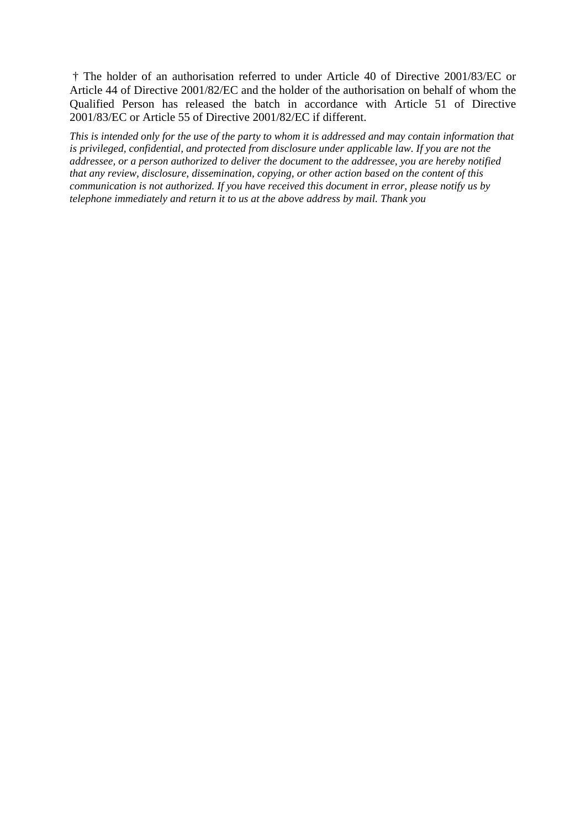† The holder of an authorisation referred to under Article 40 of Directive 2001/83/EC or Article 44 of Directive 2001/82/EC and the holder of the authorisation on behalf of whom the Qualified Person has released the batch in accordance with Article 51 of Directive 2001/83/EC or Article 55 of Directive 2001/82/EC if different.

*This is intended only for the use of the party to whom it is addressed and may contain information that is privileged, confidential, and protected from disclosure under applicable law. If you are not the addressee, or a person authorized to deliver the document to the addressee, you are hereby notified that any review, disclosure, dissemination, copying, or other action based on the content of this communication is not authorized. If you have received this document in error, please notify us by telephone immediately and return it to us at the above address by mail. Thank you*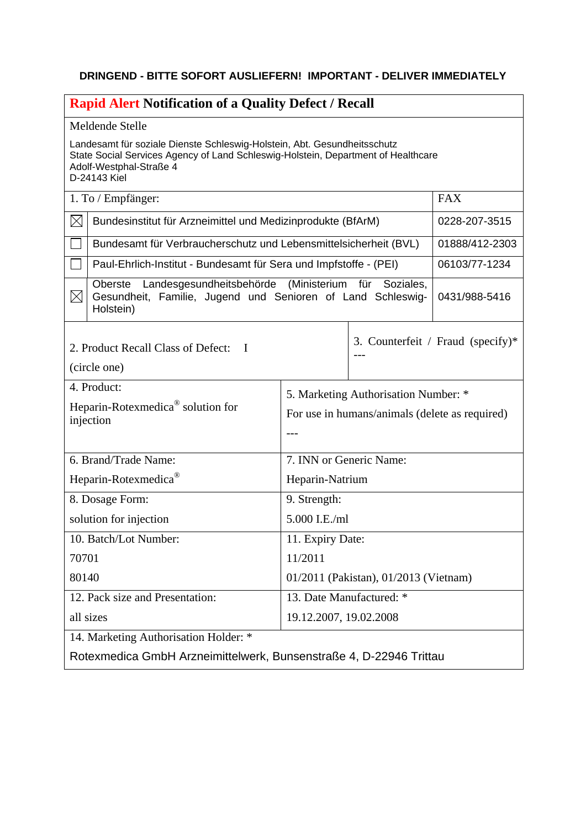## **DRINGEND - BITTE SOFORT AUSLIEFERN! IMPORTANT - DELIVER IMMEDIATELY**

| <b>Rapid Alert Notification of a Quality Defect / Recall</b>                                                                                                                                             |                                                                    |                                      |                                   |  |
|----------------------------------------------------------------------------------------------------------------------------------------------------------------------------------------------------------|--------------------------------------------------------------------|--------------------------------------|-----------------------------------|--|
| Meldende Stelle                                                                                                                                                                                          |                                                                    |                                      |                                   |  |
| Landesamt für soziale Dienste Schleswig-Holstein, Abt. Gesundheitsschutz<br>State Social Services Agency of Land Schleswig-Holstein, Department of Healthcare<br>Adolf-Westphal-Straße 4<br>D-24143 Kiel |                                                                    |                                      |                                   |  |
| 1. To / Empfänger:                                                                                                                                                                                       |                                                                    |                                      | <b>FAX</b>                        |  |
| $\boxtimes$<br>Bundesinstitut für Arzneimittel und Medizinprodukte (BfArM)                                                                                                                               |                                                                    |                                      | 0228-207-3515                     |  |
| Bundesamt für Verbraucherschutz und Lebensmittelsicherheit (BVL)                                                                                                                                         |                                                                    |                                      | 01888/412-2303                    |  |
| Paul-Ehrlich-Institut - Bundesamt für Sera und Impfstoffe - (PEI)                                                                                                                                        |                                                                    |                                      | 06103/77-1234                     |  |
| Landesgesundheitsbehörde (Ministerium für Soziales,<br>Oberste<br>$\boxtimes$<br>Gesundheit, Familie, Jugend und Senioren of Land Schleswig-<br>Holstein)                                                |                                                                    | 0431/988-5416                        |                                   |  |
| 2. Product Recall Class of Defect:<br>$\mathbf I$<br>(circle one)                                                                                                                                        |                                                                    |                                      | 3. Counterfeit / Fraud (specify)* |  |
| 4. Product:                                                                                                                                                                                              |                                                                    | 5. Marketing Authorisation Number: * |                                   |  |
| Heparin-Rotexmedica <sup>®</sup> solution for                                                                                                                                                            | For use in humans/animals (delete as required)                     |                                      |                                   |  |
| injection                                                                                                                                                                                                |                                                                    |                                      |                                   |  |
| 6. Brand/Trade Name:                                                                                                                                                                                     | 7. INN or Generic Name:                                            |                                      |                                   |  |
| Heparin-Rotexmedica®                                                                                                                                                                                     | Heparin-Natrium                                                    |                                      |                                   |  |
| 8. Dosage Form:                                                                                                                                                                                          | 9. Strength:                                                       |                                      |                                   |  |
| solution for injection                                                                                                                                                                                   | 5.000 I.E./ml                                                      |                                      |                                   |  |
| 10. Batch/Lot Number:                                                                                                                                                                                    | 11. Expiry Date:                                                   |                                      |                                   |  |
| 70701                                                                                                                                                                                                    | 11/2011                                                            |                                      |                                   |  |
| 80140                                                                                                                                                                                                    | 01/2011 (Pakistan), 01/2013 (Vietnam)                              |                                      |                                   |  |
| 12. Pack size and Presentation:                                                                                                                                                                          | 13. Date Manufactured: *                                           |                                      |                                   |  |
| all sizes                                                                                                                                                                                                | 19.12.2007, 19.02.2008                                             |                                      |                                   |  |
| 14. Marketing Authorisation Holder: *                                                                                                                                                                    |                                                                    |                                      |                                   |  |
|                                                                                                                                                                                                          | Rotexmedica GmbH Arzneimittelwerk, Bunsenstraße 4, D-22946 Trittau |                                      |                                   |  |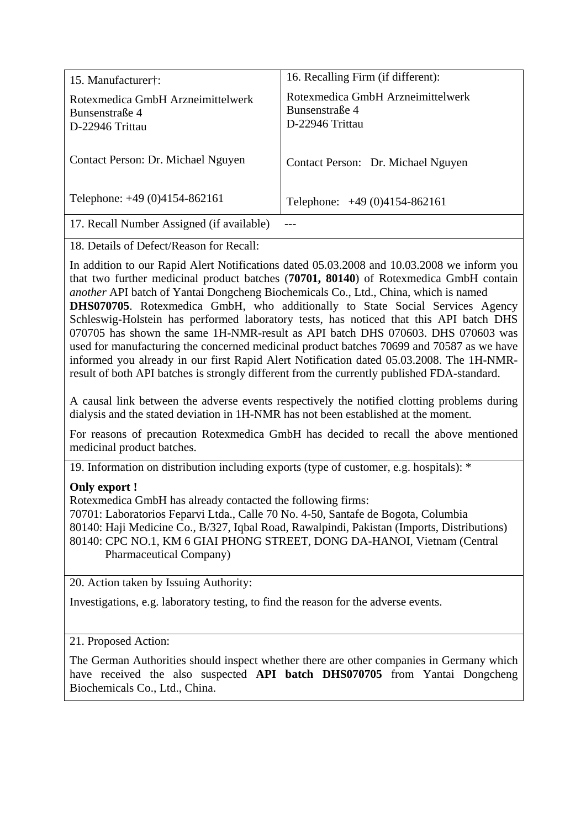| 15. Manufacturer†:                                                     | 16. Recalling Firm (if different):                                     |  |
|------------------------------------------------------------------------|------------------------------------------------------------------------|--|
| Rotexmedica GmbH Arzneimittelwerk<br>Bunsenstraße 4<br>D-22946 Trittau | Rotexmedica GmbH Arzneimittelwerk<br>Bunsenstraße 4<br>D-22946 Trittau |  |
| Contact Person: Dr. Michael Nguyen                                     | Contact Person: Dr. Michael Nguyen                                     |  |
| Telephone: +49 (0)4154-862161                                          | Telephone: $+49(0)4154-862161$                                         |  |
| 17. Recall Number Assigned (if available)                              |                                                                        |  |

18. Details of Defect/Reason for Recall:

In addition to our Rapid Alert Notifications dated 05.03.2008 and 10.03.2008 we inform you that two further medicinal product batches (**70701, 80140**) of Rotexmedica GmbH contain *another* API batch of Yantai Dongcheng Biochemicals Co., Ltd., China, which is named **DHS070705**. Rotexmedica GmbH, who additionally to State Social Services Agency Schleswig-Holstein has performed laboratory tests, has noticed that this API batch DHS 070705 has shown the same 1H-NMR-result as API batch DHS 070603. DHS 070603 was used for manufacturing the concerned medicinal product batches 70699 and 70587 as we have informed you already in our first Rapid Alert Notification dated 05.03.2008. The 1H-NMRresult of both API batches is strongly different from the currently published FDA-standard.

A causal link between the adverse events respectively the notified clotting problems during dialysis and the stated deviation in 1H-NMR has not been established at the moment.

For reasons of precaution Rotexmedica GmbH has decided to recall the above mentioned medicinal product batches.

19. Information on distribution including exports (type of customer, e.g. hospitals): \*

## **Only export !**

Rotexmedica GmbH has already contacted the following firms:

70701: Laboratorios Feparvi Ltda., Calle 70 No. 4-50, Santafe de Bogota, Columbia 80140: Haji Medicine Co., B/327, Iqbal Road, Rawalpindi, Pakistan (Imports, Distributions) 80140: CPC NO.1, KM 6 GIAI PHONG STREET, DONG DA-HANOI, Vietnam (Central Pharmaceutical Company)

20. Action taken by Issuing Authority:

Investigations, e.g. laboratory testing, to find the reason for the adverse events.

## 21. Proposed Action:

The German Authorities should inspect whether there are other companies in Germany which have received the also suspected **API batch DHS070705** from Yantai Dongcheng Biochemicals Co., Ltd., China.